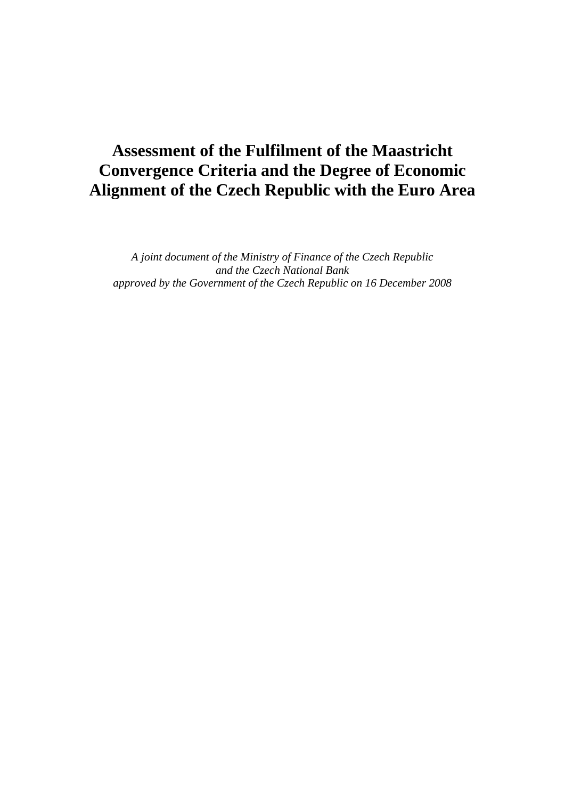# **Assessment of the Fulfilment of the Maastricht Convergence Criteria and the Degree of Economic Alignment of the Czech Republic with the Euro Area**

*A joint document of the Ministry of Finance of the Czech Republic and the Czech National Bank approved by the Government of the Czech Republic on 16 December 2008*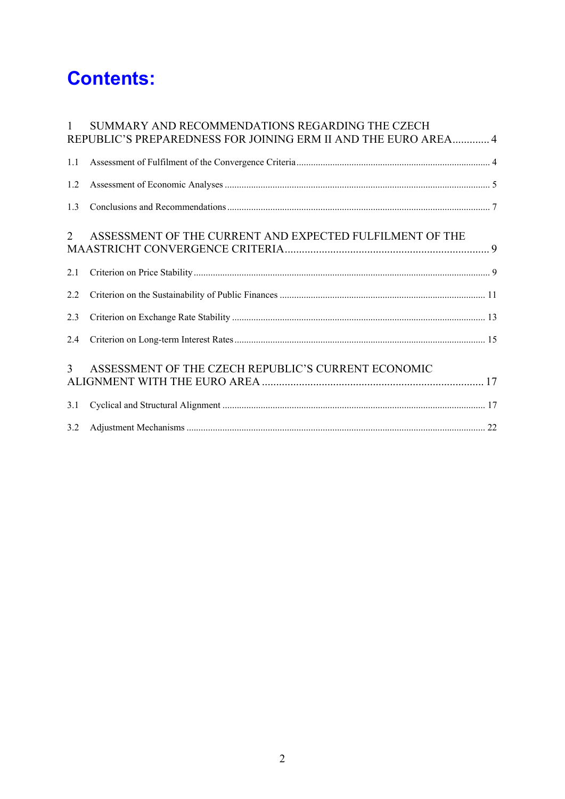# **Contents:**

| $\mathbf{1}$   | SUMMARY AND RECOMMENDATIONS REGARDING THE CZECH<br>REPUBLIC'S PREPAREDNESS FOR JOINING ERM II AND THE EURO AREA 4 |  |
|----------------|-------------------------------------------------------------------------------------------------------------------|--|
| 1.1            |                                                                                                                   |  |
| 1.2            |                                                                                                                   |  |
| 1.3            |                                                                                                                   |  |
| $\overline{2}$ | ASSESSMENT OF THE CURRENT AND EXPECTED FULFILMENT OF THE                                                          |  |
| 2.1            |                                                                                                                   |  |
| 2.2            |                                                                                                                   |  |
| 2.3            |                                                                                                                   |  |
| 2.4            |                                                                                                                   |  |
| $\overline{3}$ | ASSESSMENT OF THE CZECH REPUBLIC'S CURRENT ECONOMIC                                                               |  |
| 3.1            |                                                                                                                   |  |
| 3.2            |                                                                                                                   |  |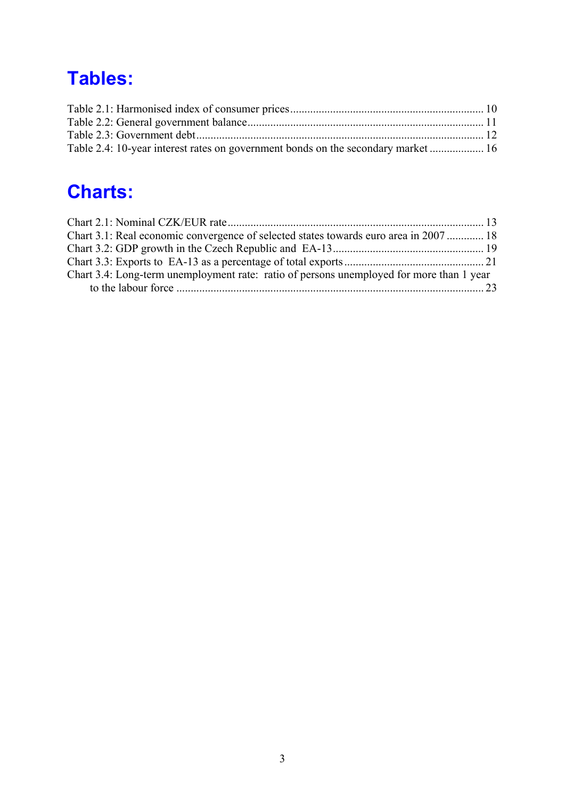# **Tables:**

| Table 2.4: 10-year interest rates on government bonds on the secondary market  16 |  |
|-----------------------------------------------------------------------------------|--|

# **Charts:**

| Chart 3.1: Real economic convergence of selected states towards euro area in 2007  18    |  |
|------------------------------------------------------------------------------------------|--|
|                                                                                          |  |
|                                                                                          |  |
| Chart 3.4: Long-term unemployment rate: ratio of persons unemployed for more than 1 year |  |
|                                                                                          |  |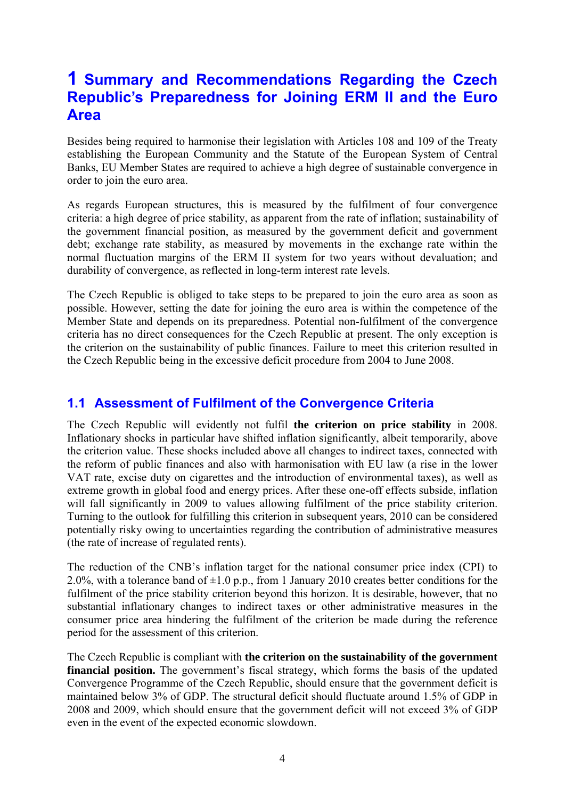# **1 Summary and Recommendations Regarding the Czech Republic's Preparedness for Joining ERM II and the Euro Area**

Besides being required to harmonise their legislation with Articles 108 and 109 of the Treaty establishing the European Community and the Statute of the European System of Central Banks, EU Member States are required to achieve a high degree of sustainable convergence in order to join the euro area.

As regards European structures, this is measured by the fulfilment of four convergence criteria: a high degree of price stability, as apparent from the rate of inflation; sustainability of the government financial position, as measured by the government deficit and government debt; exchange rate stability, as measured by movements in the exchange rate within the normal fluctuation margins of the ERM II system for two years without devaluation; and durability of convergence, as reflected in long-term interest rate levels.

The Czech Republic is obliged to take steps to be prepared to join the euro area as soon as possible. However, setting the date for joining the euro area is within the competence of the Member State and depends on its preparedness. Potential non-fulfilment of the convergence criteria has no direct consequences for the Czech Republic at present. The only exception is the criterion on the sustainability of public finances. Failure to meet this criterion resulted in the Czech Republic being in the excessive deficit procedure from 2004 to June 2008.

# **1.1 Assessment of Fulfilment of the Convergence Criteria**

The Czech Republic will evidently not fulfil **the criterion on price stability** in 2008. Inflationary shocks in particular have shifted inflation significantly, albeit temporarily, above the criterion value. These shocks included above all changes to indirect taxes, connected with the reform of public finances and also with harmonisation with EU law (a rise in the lower VAT rate, excise duty on cigarettes and the introduction of environmental taxes), as well as extreme growth in global food and energy prices. After these one-off effects subside, inflation will fall significantly in 2009 to values allowing fulfilment of the price stability criterion. Turning to the outlook for fulfilling this criterion in subsequent years, 2010 can be considered potentially risky owing to uncertainties regarding the contribution of administrative measures (the rate of increase of regulated rents).

The reduction of the CNB's inflation target for the national consumer price index (CPI) to 2.0%, with a tolerance band of  $\pm 1.0$  p.p., from 1 January 2010 creates better conditions for the fulfilment of the price stability criterion beyond this horizon. It is desirable, however, that no substantial inflationary changes to indirect taxes or other administrative measures in the consumer price area hindering the fulfilment of the criterion be made during the reference period for the assessment of this criterion.

The Czech Republic is compliant with **the criterion on the sustainability of the government financial position.** The government's fiscal strategy, which forms the basis of the updated Convergence Programme of the Czech Republic, should ensure that the government deficit is maintained below 3% of GDP. The structural deficit should fluctuate around 1.5% of GDP in 2008 and 2009, which should ensure that the government deficit will not exceed 3% of GDP even in the event of the expected economic slowdown.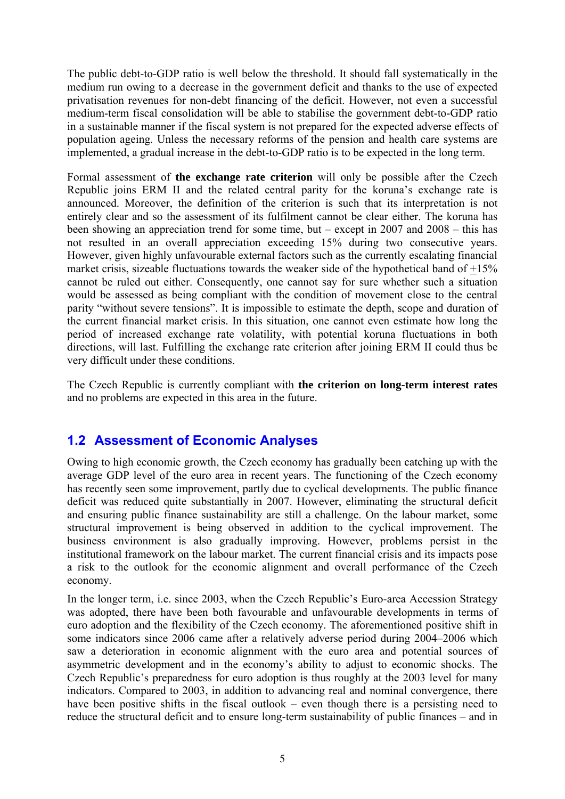The public debt-to-GDP ratio is well below the threshold. It should fall systematically in the medium run owing to a decrease in the government deficit and thanks to the use of expected privatisation revenues for non-debt financing of the deficit. However, not even a successful medium-term fiscal consolidation will be able to stabilise the government debt-to-GDP ratio in a sustainable manner if the fiscal system is not prepared for the expected adverse effects of population ageing. Unless the necessary reforms of the pension and health care systems are implemented, a gradual increase in the debt-to-GDP ratio is to be expected in the long term.

Formal assessment of **the exchange rate criterion** will only be possible after the Czech Republic joins ERM II and the related central parity for the koruna's exchange rate is announced. Moreover, the definition of the criterion is such that its interpretation is not entirely clear and so the assessment of its fulfilment cannot be clear either. The koruna has been showing an appreciation trend for some time, but – except in 2007 and 2008 – this has not resulted in an overall appreciation exceeding 15% during two consecutive years. However, given highly unfavourable external factors such as the currently escalating financial market crisis, sizeable fluctuations towards the weaker side of the hypothetical band of +15% cannot be ruled out either. Consequently, one cannot say for sure whether such a situation would be assessed as being compliant with the condition of movement close to the central parity "without severe tensions". It is impossible to estimate the depth, scope and duration of the current financial market crisis. In this situation, one cannot even estimate how long the period of increased exchange rate volatility, with potential koruna fluctuations in both directions, will last. Fulfilling the exchange rate criterion after joining ERM II could thus be very difficult under these conditions.

The Czech Republic is currently compliant with **the criterion on long-term interest rates** and no problems are expected in this area in the future.

# **1.2 Assessment of Economic Analyses**

Owing to high economic growth, the Czech economy has gradually been catching up with the average GDP level of the euro area in recent years. The functioning of the Czech economy has recently seen some improvement, partly due to cyclical developments. The public finance deficit was reduced quite substantially in 2007. However, eliminating the structural deficit and ensuring public finance sustainability are still a challenge. On the labour market, some structural improvement is being observed in addition to the cyclical improvement. The business environment is also gradually improving. However, problems persist in the institutional framework on the labour market. The current financial crisis and its impacts pose a risk to the outlook for the economic alignment and overall performance of the Czech economy.

In the longer term, i.e. since 2003, when the Czech Republic's Euro-area Accession Strategy was adopted, there have been both favourable and unfavourable developments in terms of euro adoption and the flexibility of the Czech economy. The aforementioned positive shift in some indicators since 2006 came after a relatively adverse period during 2004–2006 which saw a deterioration in economic alignment with the euro area and potential sources of asymmetric development and in the economy's ability to adjust to economic shocks. The Czech Republic's preparedness for euro adoption is thus roughly at the 2003 level for many indicators. Compared to 2003, in addition to advancing real and nominal convergence, there have been positive shifts in the fiscal outlook – even though there is a persisting need to reduce the structural deficit and to ensure long-term sustainability of public finances – and in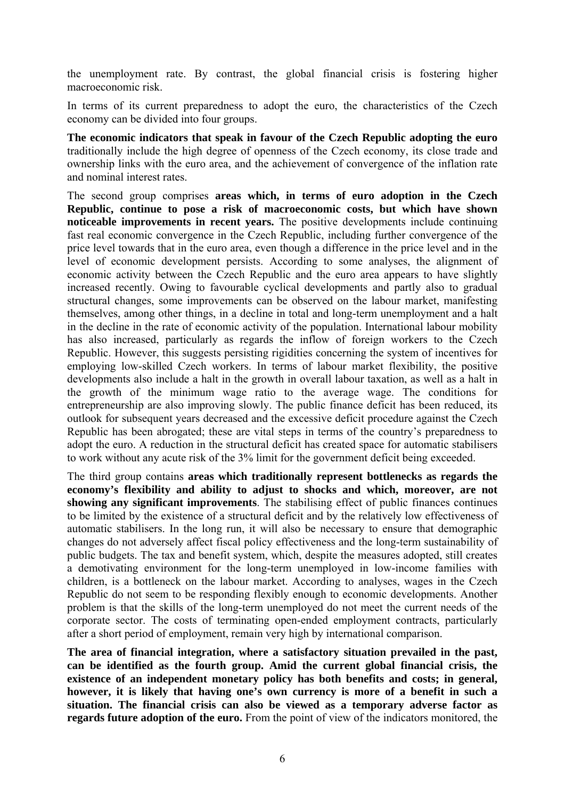the unemployment rate. By contrast, the global financial crisis is fostering higher macroeconomic risk.

In terms of its current preparedness to adopt the euro, the characteristics of the Czech economy can be divided into four groups.

**The economic indicators that speak in favour of the Czech Republic adopting the euro** traditionally include the high degree of openness of the Czech economy, its close trade and ownership links with the euro area, and the achievement of convergence of the inflation rate and nominal interest rates.

The second group comprises **areas which, in terms of euro adoption in the Czech Republic, continue to pose a risk of macroeconomic costs, but which have shown noticeable improvements in recent years.** The positive developments include continuing fast real economic convergence in the Czech Republic, including further convergence of the price level towards that in the euro area, even though a difference in the price level and in the level of economic development persists. According to some analyses, the alignment of economic activity between the Czech Republic and the euro area appears to have slightly increased recently. Owing to favourable cyclical developments and partly also to gradual structural changes, some improvements can be observed on the labour market, manifesting themselves, among other things, in a decline in total and long-term unemployment and a halt in the decline in the rate of economic activity of the population. International labour mobility has also increased, particularly as regards the inflow of foreign workers to the Czech Republic. However, this suggests persisting rigidities concerning the system of incentives for employing low-skilled Czech workers. In terms of labour market flexibility, the positive developments also include a halt in the growth in overall labour taxation, as well as a halt in the growth of the minimum wage ratio to the average wage. The conditions for entrepreneurship are also improving slowly. The public finance deficit has been reduced, its outlook for subsequent years decreased and the excessive deficit procedure against the Czech Republic has been abrogated; these are vital steps in terms of the country's preparedness to adopt the euro. A reduction in the structural deficit has created space for automatic stabilisers to work without any acute risk of the 3% limit for the government deficit being exceeded.

The third group contains **areas which traditionally represent bottlenecks as regards the economy's flexibility and ability to adjust to shocks and which, moreover, are not showing any significant improvements**. The stabilising effect of public finances continues to be limited by the existence of a structural deficit and by the relatively low effectiveness of automatic stabilisers. In the long run, it will also be necessary to ensure that demographic changes do not adversely affect fiscal policy effectiveness and the long-term sustainability of public budgets. The tax and benefit system, which, despite the measures adopted, still creates a demotivating environment for the long-term unemployed in low-income families with children, is a bottleneck on the labour market. According to analyses, wages in the Czech Republic do not seem to be responding flexibly enough to economic developments. Another problem is that the skills of the long-term unemployed do not meet the current needs of the corporate sector. The costs of terminating open-ended employment contracts, particularly after a short period of employment, remain very high by international comparison.

**The area of financial integration, where a satisfactory situation prevailed in the past, can be identified as the fourth group. Amid the current global financial crisis, the existence of an independent monetary policy has both benefits and costs; in general, however, it is likely that having one's own currency is more of a benefit in such a situation. The financial crisis can also be viewed as a temporary adverse factor as regards future adoption of the euro.** From the point of view of the indicators monitored, the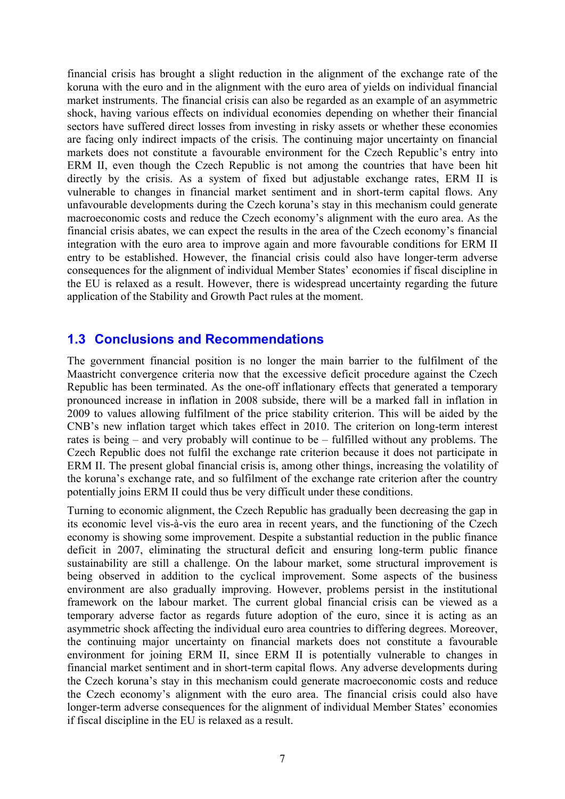financial crisis has brought a slight reduction in the alignment of the exchange rate of the koruna with the euro and in the alignment with the euro area of yields on individual financial market instruments. The financial crisis can also be regarded as an example of an asymmetric shock, having various effects on individual economies depending on whether their financial sectors have suffered direct losses from investing in risky assets or whether these economies are facing only indirect impacts of the crisis. The continuing major uncertainty on financial markets does not constitute a favourable environment for the Czech Republic's entry into ERM II, even though the Czech Republic is not among the countries that have been hit directly by the crisis. As a system of fixed but adjustable exchange rates, ERM II is vulnerable to changes in financial market sentiment and in short-term capital flows. Any unfavourable developments during the Czech koruna's stay in this mechanism could generate macroeconomic costs and reduce the Czech economy's alignment with the euro area. As the financial crisis abates, we can expect the results in the area of the Czech economy's financial integration with the euro area to improve again and more favourable conditions for ERM II entry to be established. However, the financial crisis could also have longer-term adverse consequences for the alignment of individual Member States' economies if fiscal discipline in the EU is relaxed as a result. However, there is widespread uncertainty regarding the future application of the Stability and Growth Pact rules at the moment.

## **1.3 Conclusions and Recommendations**

The government financial position is no longer the main barrier to the fulfilment of the Maastricht convergence criteria now that the excessive deficit procedure against the Czech Republic has been terminated. As the one-off inflationary effects that generated a temporary pronounced increase in inflation in 2008 subside, there will be a marked fall in inflation in 2009 to values allowing fulfilment of the price stability criterion. This will be aided by the CNB's new inflation target which takes effect in 2010. The criterion on long-term interest rates is being – and very probably will continue to be – fulfilled without any problems. The Czech Republic does not fulfil the exchange rate criterion because it does not participate in ERM II. The present global financial crisis is, among other things, increasing the volatility of the koruna's exchange rate, and so fulfilment of the exchange rate criterion after the country potentially joins ERM II could thus be very difficult under these conditions.

Turning to economic alignment, the Czech Republic has gradually been decreasing the gap in its economic level vis-à-vis the euro area in recent years, and the functioning of the Czech economy is showing some improvement. Despite a substantial reduction in the public finance deficit in 2007, eliminating the structural deficit and ensuring long-term public finance sustainability are still a challenge. On the labour market, some structural improvement is being observed in addition to the cyclical improvement. Some aspects of the business environment are also gradually improving. However, problems persist in the institutional framework on the labour market. The current global financial crisis can be viewed as a temporary adverse factor as regards future adoption of the euro, since it is acting as an asymmetric shock affecting the individual euro area countries to differing degrees. Moreover, the continuing major uncertainty on financial markets does not constitute a favourable environment for joining ERM II, since ERM II is potentially vulnerable to changes in financial market sentiment and in short-term capital flows. Any adverse developments during the Czech koruna's stay in this mechanism could generate macroeconomic costs and reduce the Czech economy's alignment with the euro area. The financial crisis could also have longer-term adverse consequences for the alignment of individual Member States' economies if fiscal discipline in the EU is relaxed as a result.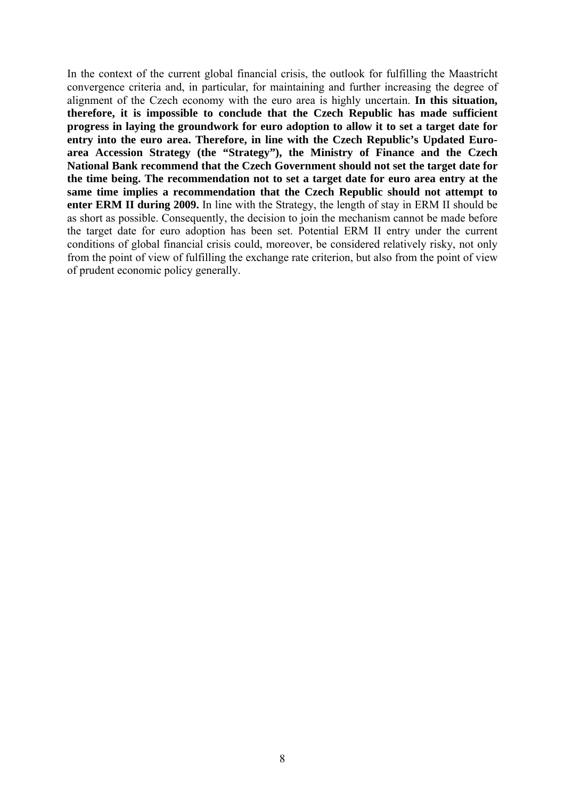In the context of the current global financial crisis, the outlook for fulfilling the Maastricht convergence criteria and, in particular, for maintaining and further increasing the degree of alignment of the Czech economy with the euro area is highly uncertain. **In this situation, therefore, it is impossible to conclude that the Czech Republic has made sufficient progress in laying the groundwork for euro adoption to allow it to set a target date for entry into the euro area. Therefore, in line with the Czech Republic's Updated Euroarea Accession Strategy (the "Strategy"), the Ministry of Finance and the Czech National Bank recommend that the Czech Government should not set the target date for the time being. The recommendation not to set a target date for euro area entry at the same time implies a recommendation that the Czech Republic should not attempt to enter ERM II during 2009.** In line with the Strategy, the length of stay in ERM II should be as short as possible. Consequently, the decision to join the mechanism cannot be made before the target date for euro adoption has been set. Potential ERM II entry under the current conditions of global financial crisis could, moreover, be considered relatively risky, not only from the point of view of fulfilling the exchange rate criterion, but also from the point of view of prudent economic policy generally.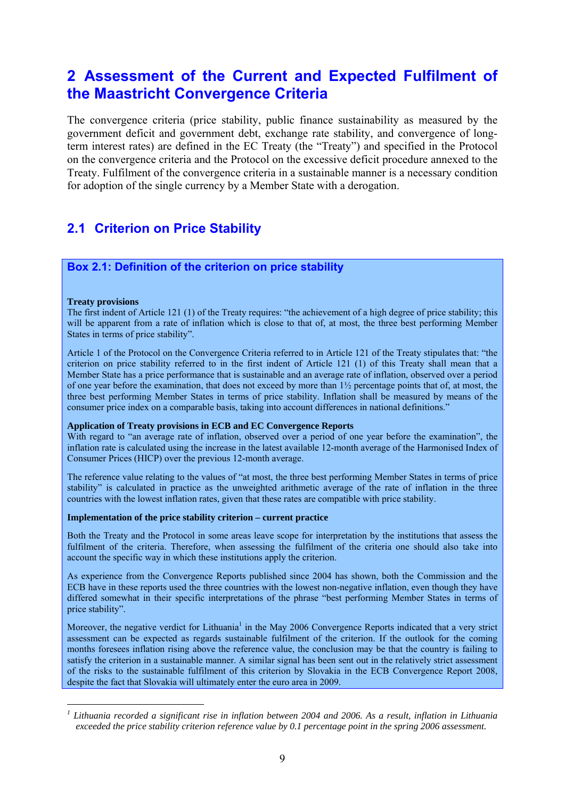# **2 Assessment of the Current and Expected Fulfilment of the Maastricht Convergence Criteria**

The convergence criteria (price stability, public finance sustainability as measured by the government deficit and government debt, exchange rate stability, and convergence of longterm interest rates) are defined in the EC Treaty (the "Treaty") and specified in the Protocol on the convergence criteria and the Protocol on the excessive deficit procedure annexed to the Treaty. Fulfilment of the convergence criteria in a sustainable manner is a necessary condition for adoption of the single currency by a Member State with a derogation.

# **2.1 Criterion on Price Stability**

## **Box 2.1: Definition of the criterion on price stability**

#### **Treaty provisions**

1

The first indent of Article 121 (1) of the Treaty requires: "the achievement of a high degree of price stability; this will be apparent from a rate of inflation which is close to that of, at most, the three best performing Member States in terms of price stability".

Article 1 of the Protocol on the Convergence Criteria referred to in Article 121 of the Treaty stipulates that: "the criterion on price stability referred to in the first indent of Article 121 (1) of this Treaty shall mean that a Member State has a price performance that is sustainable and an average rate of inflation, observed over a period of one year before the examination, that does not exceed by more than 1½ percentage points that of, at most, the three best performing Member States in terms of price stability. Inflation shall be measured by means of the consumer price index on a comparable basis, taking into account differences in national definitions."

#### **Application of Treaty provisions in ECB and EC Convergence Reports**

With regard to "an average rate of inflation, observed over a period of one year before the examination", the inflation rate is calculated using the increase in the latest available 12-month average of the Harmonised Index of Consumer Prices (HICP) over the previous 12-month average.

The reference value relating to the values of "at most, the three best performing Member States in terms of price stability" is calculated in practice as the unweighted arithmetic average of the rate of inflation in the three countries with the lowest inflation rates, given that these rates are compatible with price stability.

#### **Implementation of the price stability criterion – current practice**

Both the Treaty and the Protocol in some areas leave scope for interpretation by the institutions that assess the fulfilment of the criteria. Therefore, when assessing the fulfilment of the criteria one should also take into account the specific way in which these institutions apply the criterion.

As experience from the Convergence Reports published since 2004 has shown, both the Commission and the ECB have in these reports used the three countries with the lowest non-negative inflation, even though they have differed somewhat in their specific interpretations of the phrase "best performing Member States in terms of price stability".

Moreover, the negative verdict for Lithuania<sup>1</sup> in the May 2006 Convergence Reports indicated that a very strict assessment can be expected as regards sustainable fulfilment of the criterion. If the outlook for the coming months foresees inflation rising above the reference value, the conclusion may be that the country is failing to satisfy the criterion in a sustainable manner. A similar signal has been sent out in the relatively strict assessment of the risks to the sustainable fulfilment of this criterion by Slovakia in the ECB Convergence Report 2008, despite the fact that Slovakia will ultimately enter the euro area in 2009.

<sup>&</sup>lt;sup>1</sup> Lithuania recorded a significant rise in inflation between 2004 and 2006. As a result, inflation in Lithuania *exceeded the price stability criterion reference value by 0.1 percentage point in the spring 2006 assessment.*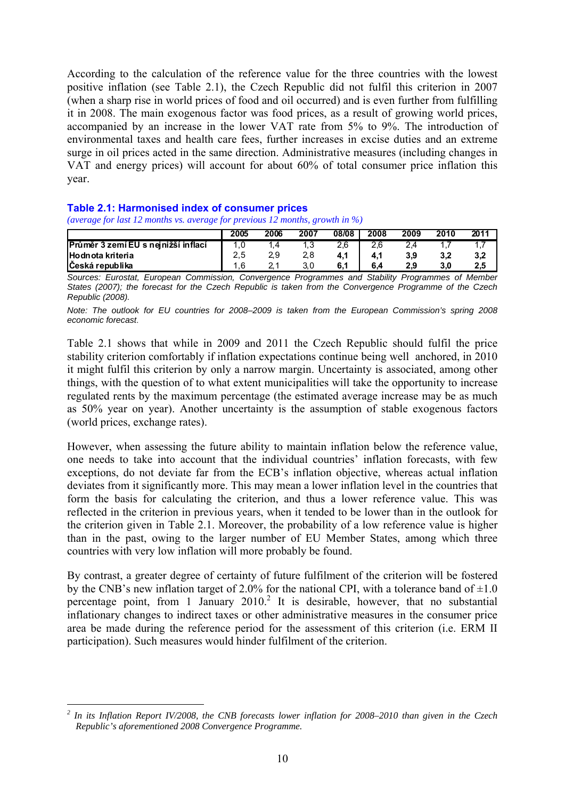According to the calculation of the reference value for the three countries with the lowest positive inflation (see Table 2.1), the Czech Republic did not fulfil this criterion in 2007 (when a sharp rise in world prices of food and oil occurred) and is even further from fulfilling it in 2008. The main exogenous factor was food prices, as a result of growing world prices, accompanied by an increase in the lower VAT rate from 5% to 9%. The introduction of environmental taxes and health care fees, further increases in excise duties and an extreme surge in oil prices acted in the same direction. Administrative measures (including changes in VAT and energy prices) will account for about 60% of total consumer price inflation this year.

### **Table 2.1: Harmonised index of consumer prices**

*(average for last 12 months vs. average for previous 12 months, growth in %)* 

|                                     | 2005 | 2006 | 2007 | 08/08 | 2008 | 2009 | 2010 | 2011 |
|-------------------------------------|------|------|------|-------|------|------|------|------|
| Průměr 3 zemí EU s nejnižší inflací |      | í.4  |      | 2.6   | 2.6  |      |      |      |
| <b>Hodnota kriteria</b>             | 2,5  | 2.9  |      | 4,1   | 4,1  | 3.9  | 3,2  | 3,2  |
| Česká republika                     | .6   |      |      |       | 6.4  |      | 3.0  | 2.5  |

*Sources: Eurostat, European Commission, Convergence Programmes and Stability Programmes of Member States (2007); the forecast for the Czech Republic is taken from the Convergence Programme of the Czech Republic (2008).* 

*Note: The outlook for EU countries for 2008–2009 is taken from the European Commission's spring 2008 economic forecast*.

Table 2.1 shows that while in 2009 and 2011 the Czech Republic should fulfil the price stability criterion comfortably if inflation expectations continue being well anchored, in 2010 it might fulfil this criterion by only a narrow margin. Uncertainty is associated, among other things, with the question of to what extent municipalities will take the opportunity to increase regulated rents by the maximum percentage (the estimated average increase may be as much as 50% year on year). Another uncertainty is the assumption of stable exogenous factors (world prices, exchange rates).

However, when assessing the future ability to maintain inflation below the reference value, one needs to take into account that the individual countries' inflation forecasts, with few exceptions, do not deviate far from the ECB's inflation objective, whereas actual inflation deviates from it significantly more. This may mean a lower inflation level in the countries that form the basis for calculating the criterion, and thus a lower reference value. This was reflected in the criterion in previous years, when it tended to be lower than in the outlook for the criterion given in Table 2.1. Moreover, the probability of a low reference value is higher than in the past, owing to the larger number of EU Member States, among which three countries with very low inflation will more probably be found.

By contrast, a greater degree of certainty of future fulfilment of the criterion will be fostered by the CNB's new inflation target of 2.0% for the national CPI, with a tolerance band of  $\pm 1.0$ percentage point, from 1 January 2010.<sup>2</sup> It is desirable, however, that no substantial inflationary changes to indirect taxes or other administrative measures in the consumer price area be made during the reference period for the assessment of this criterion (i.e. ERM II participation). Such measures would hinder fulfilment of the criterion.

<sup>1</sup> *2 In its Inflation Report IV/2008, the CNB forecasts lower inflation for 2008–2010 than given in the Czech Republic's aforementioned 2008 Convergence Programme.*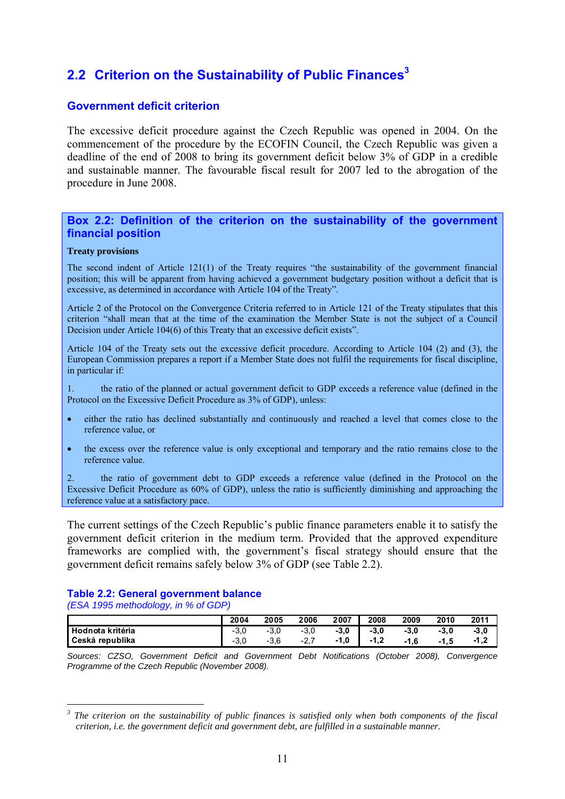# **2.2 Criterion on the Sustainability of Public Finances<sup>3</sup>**

## **Government deficit criterion**

The excessive deficit procedure against the Czech Republic was opened in 2004. On the commencement of the procedure by the ECOFIN Council, the Czech Republic was given a deadline of the end of 2008 to bring its government deficit below 3% of GDP in a credible and sustainable manner. The favourable fiscal result for 2007 led to the abrogation of the procedure in June 2008.

### **Box 2.2: Definition of the criterion on the sustainability of the government financial position**

#### **Treaty provisions**

The second indent of Article 121(1) of the Treaty requires "the sustainability of the government financial position; this will be apparent from having achieved a government budgetary position without a deficit that is excessive, as determined in accordance with Article 104 of the Treaty".

Article 2 of the Protocol on the Convergence Criteria referred to in Article 121 of the Treaty stipulates that this criterion "shall mean that at the time of the examination the Member State is not the subject of a Council Decision under Article 104(6) of this Treaty that an excessive deficit exists".

Article 104 of the Treaty sets out the excessive deficit procedure. According to Article 104 (2) and (3), the European Commission prepares a report if a Member State does not fulfil the requirements for fiscal discipline, in particular if:

1. the ratio of the planned or actual government deficit to GDP exceeds a reference value (defined in the Protocol on the Excessive Deficit Procedure as 3% of GDP), unless:

- either the ratio has declined substantially and continuously and reached a level that comes close to the reference value, or
- the excess over the reference value is only exceptional and temporary and the ratio remains close to the reference value.

2. the ratio of government debt to GDP exceeds a reference value (defined in the Protocol on the Excessive Deficit Procedure as 60% of GDP), unless the ratio is sufficiently diminishing and approaching the reference value at a satisfactory pace.

The current settings of the Czech Republic's public finance parameters enable it to satisfy the government deficit criterion in the medium term. Provided that the approved expenditure frameworks are complied with, the government's fiscal strategy should ensure that the government deficit remains safely below 3% of GDP (see Table 2.2).

## **Table 2.2: General government balance**

*(ESA 1995 methodology, in % of GDP)* 

1

|                    | 2004  | 2005  | 2006 | 2007  | 2008        | 2009   | 2010 | 2011                |
|--------------------|-------|-------|------|-------|-------------|--------|------|---------------------|
| l Hodnota kritéria | - J.U | - J.U | -ə.u | -3, L | $-3.0$      | $-3.0$ | -3,0 | -3.0                |
| Česká republika    | - J.U | -၁.၀  | -4   | 1.V   | 1 O<br>،. ا | . 6. ، | -1.5 | <u> 4 ຕ</u><br>-1.4 |

*Sources: CZSO, Government Deficit and Government Debt Notifications (October 2008), Convergence Programme of the Czech Republic (November 2008).*

*<sup>3</sup> The criterion on the sustainability of public finances is satisfied only when both components of the fiscal criterion, i.e. the government deficit and government debt, are fulfilled in a sustainable manner.*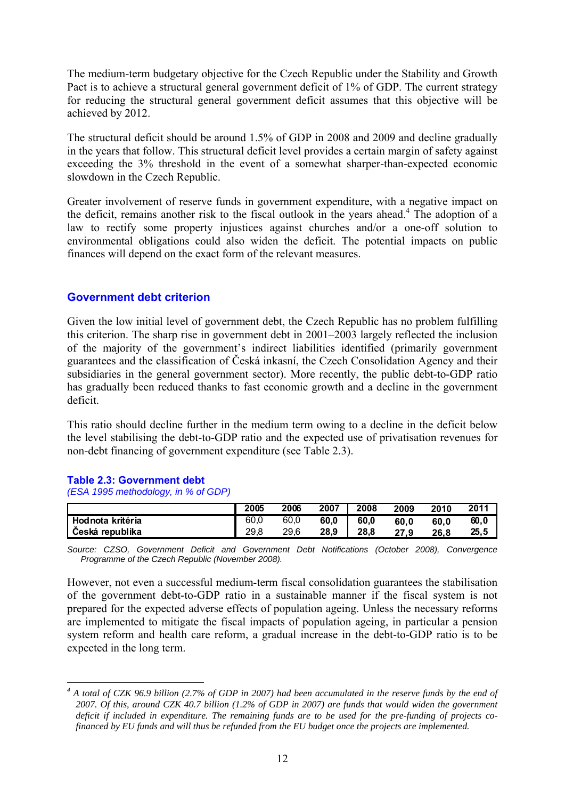The medium-term budgetary objective for the Czech Republic under the Stability and Growth Pact is to achieve a structural general government deficit of 1% of GDP. The current strategy for reducing the structural general government deficit assumes that this objective will be achieved by 2012.

The structural deficit should be around 1.5% of GDP in 2008 and 2009 and decline gradually in the years that follow. This structural deficit level provides a certain margin of safety against exceeding the 3% threshold in the event of a somewhat sharper-than-expected economic slowdown in the Czech Republic.

Greater involvement of reserve funds in government expenditure, with a negative impact on the deficit, remains another risk to the fiscal outlook in the years ahead.<sup>4</sup> The adoption of a law to rectify some property injustices against churches and/or a one-off solution to environmental obligations could also widen the deficit. The potential impacts on public finances will depend on the exact form of the relevant measures.

## **Government debt criterion**

Given the low initial level of government debt, the Czech Republic has no problem fulfilling this criterion. The sharp rise in government debt in 2001–2003 largely reflected the inclusion of the majority of the government's indirect liabilities identified (primarily government guarantees and the classification of Česká inkasní, the Czech Consolidation Agency and their subsidiaries in the general government sector). More recently, the public debt-to-GDP ratio has gradually been reduced thanks to fast economic growth and a decline in the government deficit.

This ratio should decline further in the medium term owing to a decline in the deficit below the level stabilising the debt-to-GDP ratio and the expected use of privatisation revenues for non-debt financing of government expenditure (see Table 2.3).

### **Table 2.3: Government debt**

1

*(ESA 1995 methodology, in % of GDP)* 

|                  | 2005 | 2006 | 2007 | 2008 | 2009 | 2010 | 2011  |
|------------------|------|------|------|------|------|------|-------|
| Hodnota kritéria | 60.0 | 60,0 | 60.0 | 60.0 | 60.0 | 60.0 | 60, 0 |
| Česká republika  | 29.8 | 29.6 | 28.9 | 28.8 | 27.9 | 26.8 | 25.5  |

*Source: CZSO, Government Deficit and Government Debt Notifications (October 2008), Convergence Programme of the Czech Republic (November 2008).* 

However, not even a successful medium-term fiscal consolidation guarantees the stabilisation of the government debt-to-GDP ratio in a sustainable manner if the fiscal system is not prepared for the expected adverse effects of population ageing. Unless the necessary reforms are implemented to mitigate the fiscal impacts of population ageing, in particular a pension system reform and health care reform, a gradual increase in the debt-to-GDP ratio is to be expected in the long term.

<sup>&</sup>lt;sup>4</sup> A total of CZK 96.9 billion (2.7% of GDP in 2007) had been accumulated in the reserve funds by the end of *2007. Of this, around CZK 40.7 billion (1.2% of GDP in 2007) are funds that would widen the government deficit if included in expenditure. The remaining funds are to be used for the pre-funding of projects cofinanced by EU funds and will thus be refunded from the EU budget once the projects are implemented.*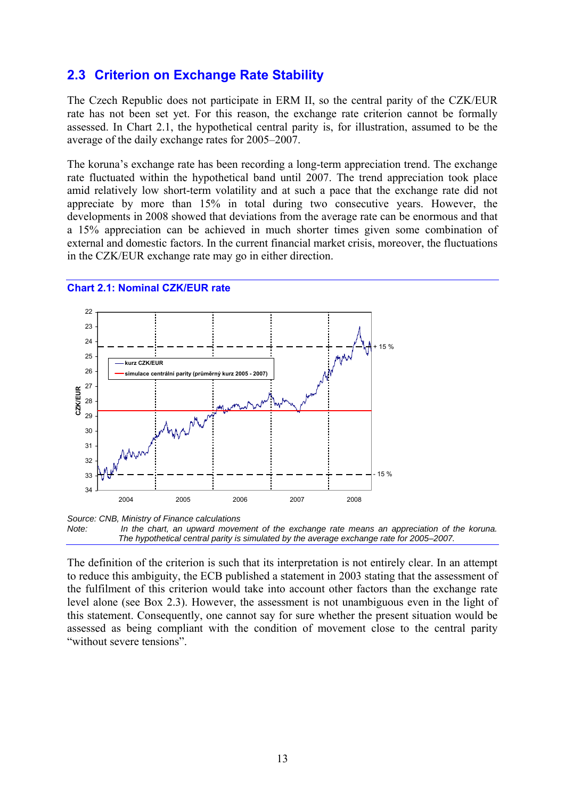# **2.3 Criterion on Exchange Rate Stability**

The Czech Republic does not participate in ERM II, so the central parity of the CZK/EUR rate has not been set yet. For this reason, the exchange rate criterion cannot be formally assessed. In Chart 2.1, the hypothetical central parity is, for illustration, assumed to be the average of the daily exchange rates for 2005–2007.

The koruna's exchange rate has been recording a long-term appreciation trend. The exchange rate fluctuated within the hypothetical band until 2007. The trend appreciation took place amid relatively low short-term volatility and at such a pace that the exchange rate did not appreciate by more than 15% in total during two consecutive years. However, the developments in 2008 showed that deviations from the average rate can be enormous and that a 15% appreciation can be achieved in much shorter times given some combination of external and domestic factors. In the current financial market crisis, moreover, the fluctuations in the CZK/EUR exchange rate may go in either direction.



#### **Chart 2.1: Nominal CZK/EUR rate**

*Source: CNB, Ministry of Finance calculations Note: In the chart, an upward movement of the exchange rate means an appreciation of the koruna. The hypothetical central parity is simulated by the average exchange rate for 2005–2007.* 

The definition of the criterion is such that its interpretation is not entirely clear. In an attempt to reduce this ambiguity, the ECB published a statement in 2003 stating that the assessment of the fulfilment of this criterion would take into account other factors than the exchange rate level alone (see Box 2.3). However, the assessment is not unambiguous even in the light of this statement. Consequently, one cannot say for sure whether the present situation would be assessed as being compliant with the condition of movement close to the central parity "without severe tensions".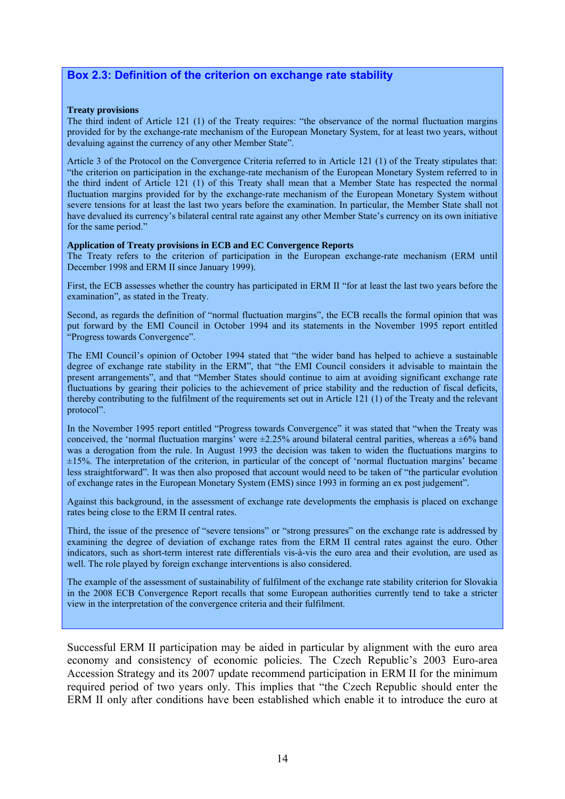## **Box 2.3: Definition of the criterion on exchange rate stability**

#### **Treaty provisions**

The third indent of Article 121 (1) of the Treaty requires: "the observance of the normal fluctuation margins provided for by the exchange-rate mechanism of the European Monetary System, for at least two years, without devaluing against the currency of any other Member State".

Article 3 of the Protocol on the Convergence Criteria referred to in Article 121 (1) of the Treaty stipulates that: "the criterion on participation in the exchange-rate mechanism of the European Monetary System referred to in the third indent of Article 121 (1) of this Treaty shall mean that a Member State has respected the normal fluctuation margins provided for by the exchange-rate mechanism of the European Monetary System without severe tensions for at least the last two years before the examination. In particular, the Member State shall not have devalued its currency's bilateral central rate against any other Member State's currency on its own initiative for the same period."

#### **Application of Treaty provisions in ECB and EC Convergence Reports**

The Treaty refers to the criterion of participation in the European exchange-rate mechanism (ERM until December 1998 and ERM II since January 1999).

First, the ECB assesses whether the country has participated in ERM II "for at least the last two years before the examination", as stated in the Treaty.

Second, as regards the definition of "normal fluctuation margins", the ECB recalls the formal opinion that was put forward by the EMI Council in October 1994 and its statements in the November 1995 report entitled "Progress towards Convergence".

The EMI Council's opinion of October 1994 stated that "the wider band has helped to achieve a sustainable degree of exchange rate stability in the ERM", that "the EMI Council considers it advisable to maintain the present arrangements", and that "Member States should continue to aim at avoiding significant exchange rate fluctuations by gearing their policies to the achievement of price stability and the reduction of fiscal deficits, thereby contributing to the fulfilment of the requirements set out in Article 121 (1) of the Treaty and the relevant protocol".

In the November 1995 report entitled "Progress towards Convergence" it was stated that "when the Treaty was conceived, the 'normal fluctuation margins' were  $\pm 2.25\%$  around bilateral central parities, whereas a  $\pm 6\%$  band was a derogation from the rule. In August 1993 the decision was taken to widen the fluctuations margins to ±15%. The interpretation of the criterion, in particular of the concept of 'normal fluctuation margins' became less straightforward". It was then also proposed that account would need to be taken of "the particular evolution of exchange rates in the European Monetary System (EMS) since 1993 in forming an ex post judgement".

Against this background, in the assessment of exchange rate developments the emphasis is placed on exchange rates being close to the ERM II central rates.

Third, the issue of the presence of "severe tensions" or "strong pressures" on the exchange rate is addressed by examining the degree of deviation of exchange rates from the ERM II central rates against the euro. Other indicators, such as short-term interest rate differentials vis-à-vis the euro area and their evolution, are used as well. The role played by foreign exchange interventions is also considered.

The example of the assessment of sustainability of fulfilment of the exchange rate stability criterion for Slovakia in the 2008 ECB Convergence Report recalls that some European authorities currently tend to take a stricter view in the interpretation of the convergence criteria and their fulfilment.

Successful ERM II participation may be aided in particular by alignment with the euro area economy and consistency of economic policies. The Czech Republic's 2003 Euro-area Accession Strategy and its 2007 update recommend participation in ERM II for the minimum required period of two years only. This implies that "the Czech Republic should enter the ERM II only after conditions have been established which enable it to introduce the euro at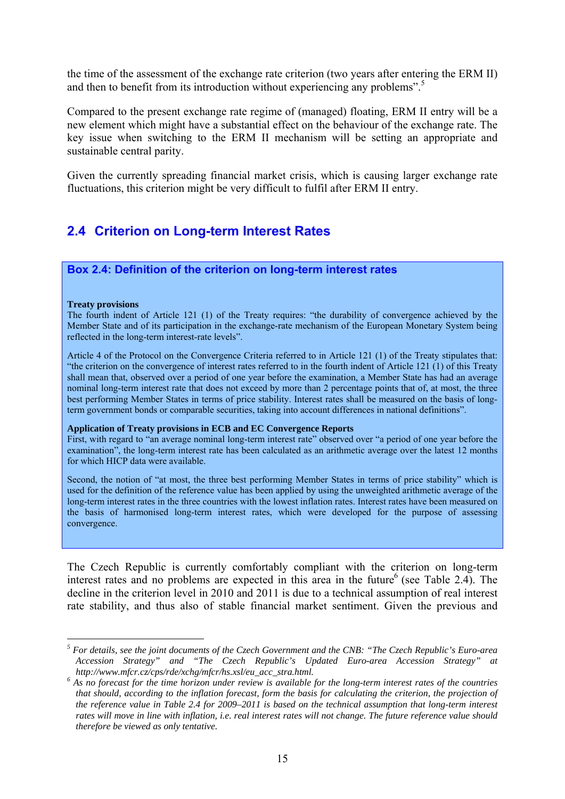the time of the assessment of the exchange rate criterion (two years after entering the ERM II) and then to benefit from its introduction without experiencing any problems".<sup>5</sup>

Compared to the present exchange rate regime of (managed) floating, ERM II entry will be a new element which might have a substantial effect on the behaviour of the exchange rate. The key issue when switching to the ERM II mechanism will be setting an appropriate and sustainable central parity.

Given the currently spreading financial market crisis, which is causing larger exchange rate fluctuations, this criterion might be very difficult to fulfil after ERM II entry.

# **2.4 Criterion on Long-term Interest Rates**

### **Box 2.4: Definition of the criterion on long-term interest rates**

#### **Treaty provisions**

1

The fourth indent of Article 121 (1) of the Treaty requires: "the durability of convergence achieved by the Member State and of its participation in the exchange-rate mechanism of the European Monetary System being reflected in the long-term interest-rate levels".

Article 4 of the Protocol on the Convergence Criteria referred to in Article 121 (1) of the Treaty stipulates that: "the criterion on the convergence of interest rates referred to in the fourth indent of Article 121 (1) of this Treaty shall mean that, observed over a period of one year before the examination, a Member State has had an average nominal long-term interest rate that does not exceed by more than 2 percentage points that of, at most, the three best performing Member States in terms of price stability. Interest rates shall be measured on the basis of longterm government bonds or comparable securities, taking into account differences in national definitions".

#### **Application of Treaty provisions in ECB and EC Convergence Reports**

First, with regard to "an average nominal long-term interest rate" observed over "a period of one year before the examination", the long-term interest rate has been calculated as an arithmetic average over the latest 12 months for which HICP data were available.

Second, the notion of "at most, the three best performing Member States in terms of price stability" which is used for the definition of the reference value has been applied by using the unweighted arithmetic average of the long-term interest rates in the three countries with the lowest inflation rates. Interest rates have been measured on the basis of harmonised long-term interest rates, which were developed for the purpose of assessing convergence.

The Czech Republic is currently comfortably compliant with the criterion on long-term interest rates and no problems are expected in this area in the future  $6$  (see Table 2.4). The decline in the criterion level in 2010 and 2011 is due to a technical assumption of real interest rate stability, and thus also of stable financial market sentiment. Given the previous and

*<sup>5</sup> For details, see the joint documents of the Czech Government and the CNB: "The Czech Republic's Euro-area Accession Strategy" and "The Czech Republic's Updated Euro-area Accession Strategy" at* 

http://www.mfcr.cz/cps/rde/xchg/mfcr/hs.xsl/eu\_acc\_stra.html.<br><sup>6</sup> As no forecast for the time horizon under review is available for the long-term interest rates of the countries *that should, according to the inflation forecast, form the basis for calculating the criterion, the projection of the reference value in Table 2.4 for 2009–2011 is based on the technical assumption that long-term interest rates will move in line with inflation, i.e. real interest rates will not change. The future reference value should therefore be viewed as only tentative.*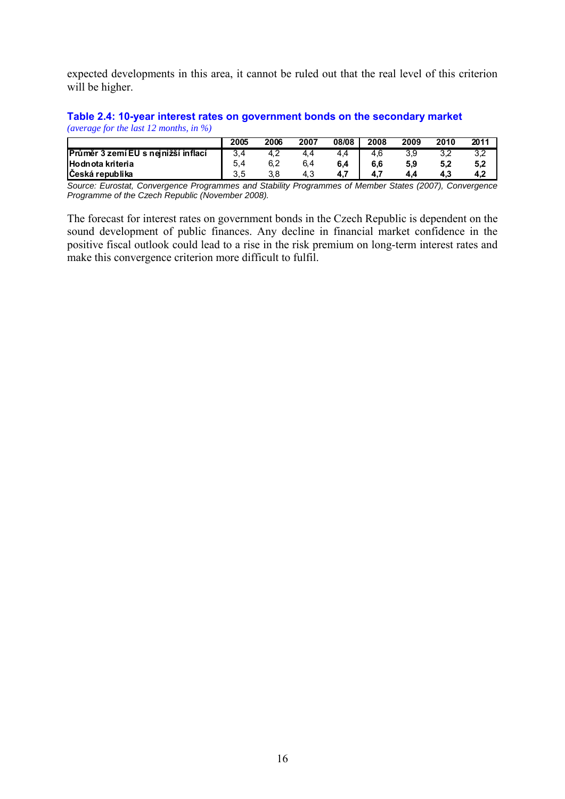expected developments in this area, it cannot be ruled out that the real level of this criterion will be higher.

#### **Table 2.4: 10-year interest rates on government bonds on the secondary market**  *(average for the last 12 months, in %)*

|                                     | 2005 | 2006 | 2007 | 08/08  | 2008 | 2009 | 2010 | 2011 |
|-------------------------------------|------|------|------|--------|------|------|------|------|
| Průměr 3 zemí EU s nejnižší inflací |      | 4, 4 |      | $+4.4$ | 4.6  |      | ے.כ  |      |
| <b>Hodnota kriteria</b>             | 5,4  | 6,2  | 6.4  | 6,4    | 6,6  | 5,9  | 5,2  | 5,2  |
| <b>Ceská republika</b>              | 3.5  | 3.8  | 4.3  | A 7    |      | 4.4  | 4.3  |      |

*Source: Eurostat, Convergence Programmes and Stability Programmes of Member States (2007), Convergence Programme of the Czech Republic (November 2008).* 

The forecast for interest rates on government bonds in the Czech Republic is dependent on the sound development of public finances. Any decline in financial market confidence in the positive fiscal outlook could lead to a rise in the risk premium on long-term interest rates and make this convergence criterion more difficult to fulfil.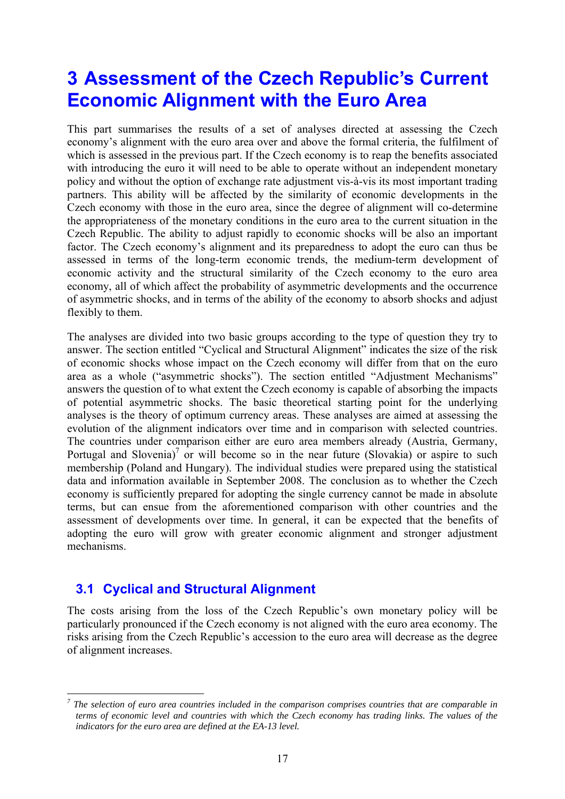# **3 Assessment of the Czech Republic's Current Economic Alignment with the Euro Area**

This part summarises the results of a set of analyses directed at assessing the Czech economy's alignment with the euro area over and above the formal criteria, the fulfilment of which is assessed in the previous part. If the Czech economy is to reap the benefits associated with introducing the euro it will need to be able to operate without an independent monetary policy and without the option of exchange rate adjustment vis-à-vis its most important trading partners. This ability will be affected by the similarity of economic developments in the Czech economy with those in the euro area, since the degree of alignment will co-determine the appropriateness of the monetary conditions in the euro area to the current situation in the Czech Republic. The ability to adjust rapidly to economic shocks will be also an important factor. The Czech economy's alignment and its preparedness to adopt the euro can thus be assessed in terms of the long-term economic trends, the medium-term development of economic activity and the structural similarity of the Czech economy to the euro area economy, all of which affect the probability of asymmetric developments and the occurrence of asymmetric shocks, and in terms of the ability of the economy to absorb shocks and adjust flexibly to them.

The analyses are divided into two basic groups according to the type of question they try to answer. The section entitled "Cyclical and Structural Alignment" indicates the size of the risk of economic shocks whose impact on the Czech economy will differ from that on the euro area as a whole ("asymmetric shocks"). The section entitled "Adjustment Mechanisms" answers the question of to what extent the Czech economy is capable of absorbing the impacts of potential asymmetric shocks. The basic theoretical starting point for the underlying analyses is the theory of optimum currency areas. These analyses are aimed at assessing the evolution of the alignment indicators over time and in comparison with selected countries. The countries under comparison either are euro area members already (Austria, Germany, Portugal and Slovenia)<sup>7</sup> or will become so in the near future (Slovakia) or aspire to such membership (Poland and Hungary). The individual studies were prepared using the statistical data and information available in September 2008. The conclusion as to whether the Czech economy is sufficiently prepared for adopting the single currency cannot be made in absolute terms, but can ensue from the aforementioned comparison with other countries and the assessment of developments over time. In general, it can be expected that the benefits of adopting the euro will grow with greater economic alignment and stronger adjustment mechanisms.

# **3.1 Cyclical and Structural Alignment**

1

The costs arising from the loss of the Czech Republic's own monetary policy will be particularly pronounced if the Czech economy is not aligned with the euro area economy. The risks arising from the Czech Republic's accession to the euro area will decrease as the degree of alignment increases.

*<sup>7</sup> The selection of euro area countries included in the comparison comprises countries that are comparable in terms of economic level and countries with which the Czech economy has trading links. The values of the indicators for the euro area are defined at the EA-13 level.*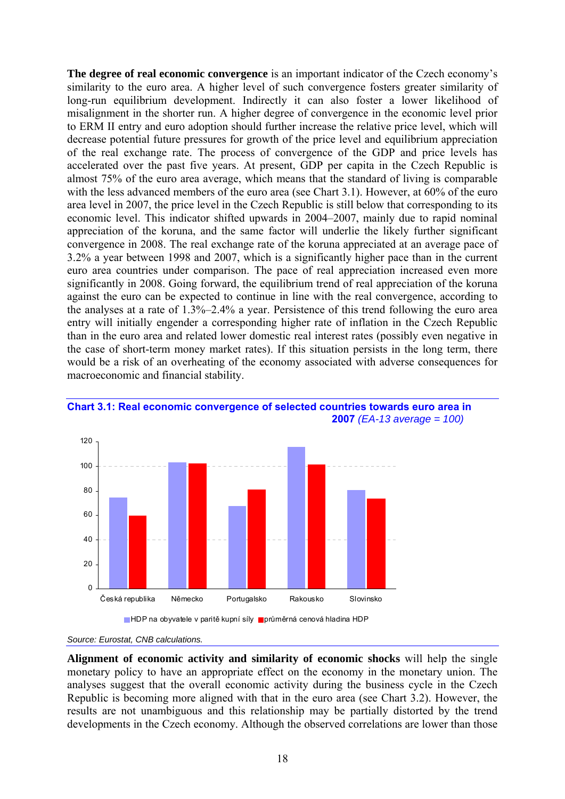**The degree of real economic convergence** is an important indicator of the Czech economy's similarity to the euro area. A higher level of such convergence fosters greater similarity of long-run equilibrium development. Indirectly it can also foster a lower likelihood of misalignment in the shorter run. A higher degree of convergence in the economic level prior to ERM II entry and euro adoption should further increase the relative price level, which will decrease potential future pressures for growth of the price level and equilibrium appreciation of the real exchange rate. The process of convergence of the GDP and price levels has accelerated over the past five years. At present, GDP per capita in the Czech Republic is almost 75% of the euro area average, which means that the standard of living is comparable with the less advanced members of the euro area (see Chart 3.1). However, at 60% of the euro area level in 2007, the price level in the Czech Republic is still below that corresponding to its economic level. This indicator shifted upwards in 2004–2007, mainly due to rapid nominal appreciation of the koruna, and the same factor will underlie the likely further significant convergence in 2008. The real exchange rate of the koruna appreciated at an average pace of 3.2% a year between 1998 and 2007, which is a significantly higher pace than in the current euro area countries under comparison. The pace of real appreciation increased even more significantly in 2008. Going forward, the equilibrium trend of real appreciation of the koruna against the euro can be expected to continue in line with the real convergence, according to the analyses at a rate of 1.3%–2.4% a year. Persistence of this trend following the euro area entry will initially engender a corresponding higher rate of inflation in the Czech Republic than in the euro area and related lower domestic real interest rates (possibly even negative in the case of short-term money market rates). If this situation persists in the long term, there would be a risk of an overheating of the economy associated with adverse consequences for macroeconomic and financial stability.



## **Chart 3.1: Real economic convergence of selected countries towards euro area in 2007** *(EA-13 average = 100)*



**Alignment of economic activity and similarity of economic shocks** will help the single monetary policy to have an appropriate effect on the economy in the monetary union. The analyses suggest that the overall economic activity during the business cycle in the Czech Republic is becoming more aligned with that in the euro area (see Chart 3.2). However, the results are not unambiguous and this relationship may be partially distorted by the trend developments in the Czech economy. Although the observed correlations are lower than those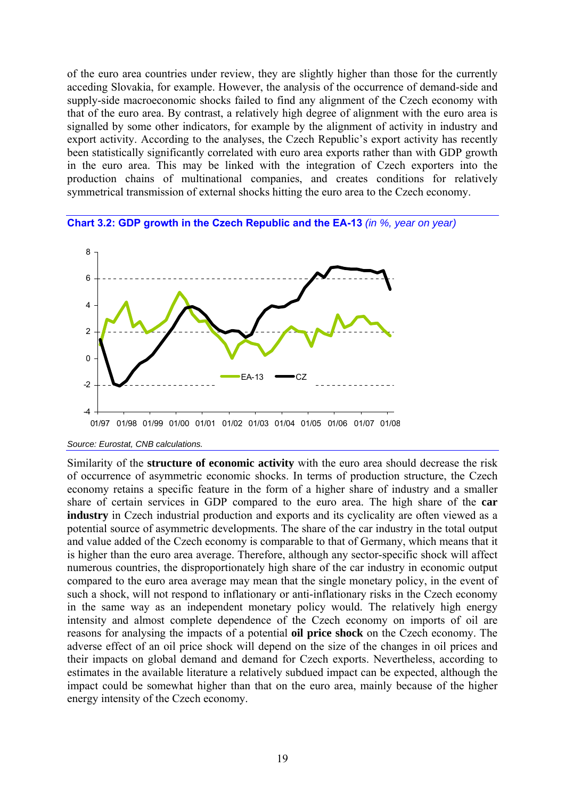of the euro area countries under review, they are slightly higher than those for the currently acceding Slovakia, for example. However, the analysis of the occurrence of demand-side and supply-side macroeconomic shocks failed to find any alignment of the Czech economy with that of the euro area. By contrast, a relatively high degree of alignment with the euro area is signalled by some other indicators, for example by the alignment of activity in industry and export activity. According to the analyses, the Czech Republic's export activity has recently been statistically significantly correlated with euro area exports rather than with GDP growth in the euro area. This may be linked with the integration of Czech exporters into the production chains of multinational companies, and creates conditions for relatively symmetrical transmission of external shocks hitting the euro area to the Czech economy.





*Source: Eurostat, CNB calculations.* 

Similarity of the **structure of economic activity** with the euro area should decrease the risk of occurrence of asymmetric economic shocks. In terms of production structure, the Czech economy retains a specific feature in the form of a higher share of industry and a smaller share of certain services in GDP compared to the euro area. The high share of the **car industry** in Czech industrial production and exports and its cyclicality are often viewed as a potential source of asymmetric developments. The share of the car industry in the total output and value added of the Czech economy is comparable to that of Germany, which means that it is higher than the euro area average. Therefore, although any sector-specific shock will affect numerous countries, the disproportionately high share of the car industry in economic output compared to the euro area average may mean that the single monetary policy, in the event of such a shock, will not respond to inflationary or anti-inflationary risks in the Czech economy in the same way as an independent monetary policy would. The relatively high energy intensity and almost complete dependence of the Czech economy on imports of oil are reasons for analysing the impacts of a potential **oil price shock** on the Czech economy. The adverse effect of an oil price shock will depend on the size of the changes in oil prices and their impacts on global demand and demand for Czech exports. Nevertheless, according to estimates in the available literature a relatively subdued impact can be expected, although the impact could be somewhat higher than that on the euro area, mainly because of the higher energy intensity of the Czech economy.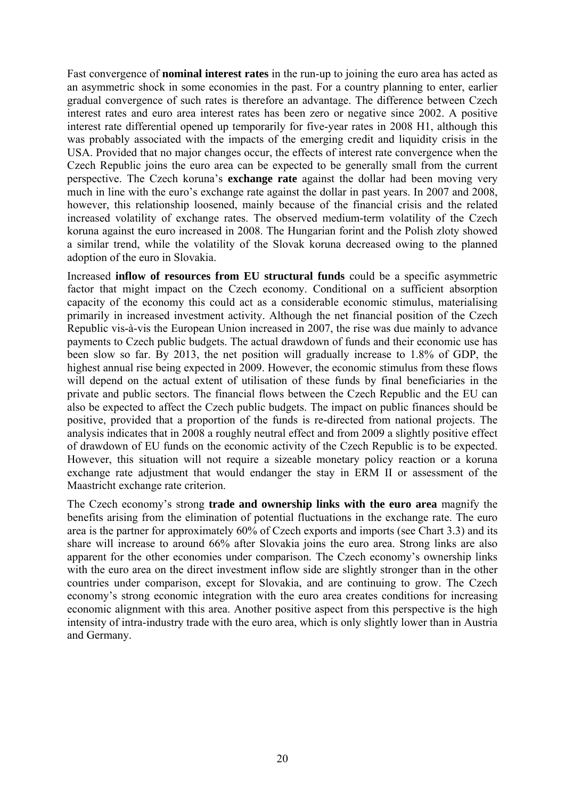Fast convergence of **nominal interest rates** in the run-up to joining the euro area has acted as an asymmetric shock in some economies in the past. For a country planning to enter, earlier gradual convergence of such rates is therefore an advantage. The difference between Czech interest rates and euro area interest rates has been zero or negative since 2002. A positive interest rate differential opened up temporarily for five-year rates in 2008 H1, although this was probably associated with the impacts of the emerging credit and liquidity crisis in the USA. Provided that no major changes occur, the effects of interest rate convergence when the Czech Republic joins the euro area can be expected to be generally small from the current perspective. The Czech koruna's **exchange rate** against the dollar had been moving very much in line with the euro's exchange rate against the dollar in past years. In 2007 and 2008, however, this relationship loosened, mainly because of the financial crisis and the related increased volatility of exchange rates. The observed medium-term volatility of the Czech koruna against the euro increased in 2008. The Hungarian forint and the Polish zloty showed a similar trend, while the volatility of the Slovak koruna decreased owing to the planned adoption of the euro in Slovakia.

Increased **inflow of resources from EU structural funds** could be a specific asymmetric factor that might impact on the Czech economy. Conditional on a sufficient absorption capacity of the economy this could act as a considerable economic stimulus, materialising primarily in increased investment activity. Although the net financial position of the Czech Republic vis-à-vis the European Union increased in 2007, the rise was due mainly to advance payments to Czech public budgets. The actual drawdown of funds and their economic use has been slow so far. By 2013, the net position will gradually increase to 1.8% of GDP, the highest annual rise being expected in 2009. However, the economic stimulus from these flows will depend on the actual extent of utilisation of these funds by final beneficiaries in the private and public sectors. The financial flows between the Czech Republic and the EU can also be expected to affect the Czech public budgets. The impact on public finances should be positive, provided that a proportion of the funds is re-directed from national projects. The analysis indicates that in 2008 a roughly neutral effect and from 2009 a slightly positive effect of drawdown of EU funds on the economic activity of the Czech Republic is to be expected. However, this situation will not require a sizeable monetary policy reaction or a koruna exchange rate adjustment that would endanger the stay in ERM II or assessment of the Maastricht exchange rate criterion.

The Czech economy's strong **trade and ownership links with the euro area** magnify the benefits arising from the elimination of potential fluctuations in the exchange rate. The euro area is the partner for approximately 60% of Czech exports and imports (see Chart 3.3) and its share will increase to around 66% after Slovakia joins the euro area. Strong links are also apparent for the other economies under comparison. The Czech economy's ownership links with the euro area on the direct investment inflow side are slightly stronger than in the other countries under comparison, except for Slovakia, and are continuing to grow. The Czech economy's strong economic integration with the euro area creates conditions for increasing economic alignment with this area. Another positive aspect from this perspective is the high intensity of intra-industry trade with the euro area, which is only slightly lower than in Austria and Germany.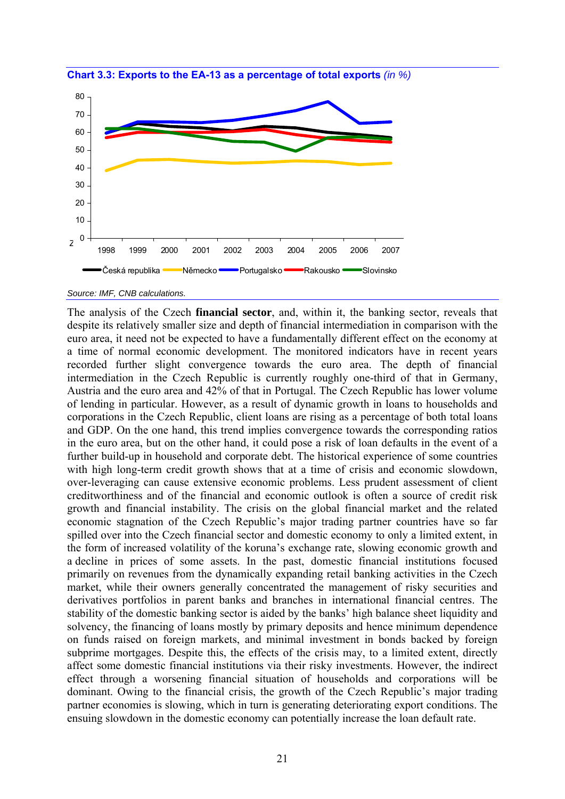

**Chart 3.3: Exports to the EA-13 as a percentage of total exports** *(in %)* 

*Source: IMF, CNB calculations.* 

The analysis of the Czech **financial sector**, and, within it, the banking sector, reveals that despite its relatively smaller size and depth of financial intermediation in comparison with the euro area, it need not be expected to have a fundamentally different effect on the economy at a time of normal economic development. The monitored indicators have in recent years recorded further slight convergence towards the euro area. The depth of financial intermediation in the Czech Republic is currently roughly one-third of that in Germany, Austria and the euro area and 42% of that in Portugal. The Czech Republic has lower volume of lending in particular. However, as a result of dynamic growth in loans to households and corporations in the Czech Republic, client loans are rising as a percentage of both total loans and GDP. On the one hand, this trend implies convergence towards the corresponding ratios in the euro area, but on the other hand, it could pose a risk of loan defaults in the event of a further build-up in household and corporate debt. The historical experience of some countries with high long-term credit growth shows that at a time of crisis and economic slowdown, over-leveraging can cause extensive economic problems. Less prudent assessment of client creditworthiness and of the financial and economic outlook is often a source of credit risk growth and financial instability. The crisis on the global financial market and the related economic stagnation of the Czech Republic's major trading partner countries have so far spilled over into the Czech financial sector and domestic economy to only a limited extent, in the form of increased volatility of the koruna's exchange rate, slowing economic growth and a decline in prices of some assets. In the past, domestic financial institutions focused primarily on revenues from the dynamically expanding retail banking activities in the Czech market, while their owners generally concentrated the management of risky securities and derivatives portfolios in parent banks and branches in international financial centres. The stability of the domestic banking sector is aided by the banks' high balance sheet liquidity and solvency, the financing of loans mostly by primary deposits and hence minimum dependence on funds raised on foreign markets, and minimal investment in bonds backed by foreign subprime mortgages. Despite this, the effects of the crisis may, to a limited extent, directly affect some domestic financial institutions via their risky investments. However, the indirect effect through a worsening financial situation of households and corporations will be dominant. Owing to the financial crisis, the growth of the Czech Republic's major trading partner economies is slowing, which in turn is generating deteriorating export conditions. The ensuing slowdown in the domestic economy can potentially increase the loan default rate.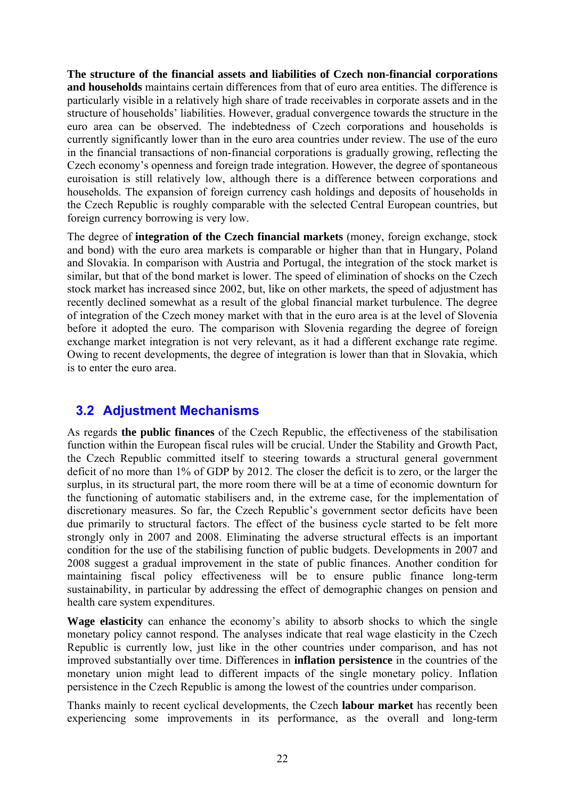**The structure of the financial assets and liabilities of Czech non-financial corporations and households** maintains certain differences from that of euro area entities. The difference is particularly visible in a relatively high share of trade receivables in corporate assets and in the structure of households' liabilities. However, gradual convergence towards the structure in the euro area can be observed. The indebtedness of Czech corporations and households is currently significantly lower than in the euro area countries under review. The use of the euro in the financial transactions of non-financial corporations is gradually growing, reflecting the Czech economy's openness and foreign trade integration. However, the degree of spontaneous euroisation is still relatively low, although there is a difference between corporations and households. The expansion of foreign currency cash holdings and deposits of households in the Czech Republic is roughly comparable with the selected Central European countries, but foreign currency borrowing is very low.

The degree of **integration of the Czech financial markets** (money, foreign exchange, stock and bond) with the euro area markets is comparable or higher than that in Hungary, Poland and Slovakia. In comparison with Austria and Portugal, the integration of the stock market is similar, but that of the bond market is lower. The speed of elimination of shocks on the Czech stock market has increased since 2002, but, like on other markets, the speed of adjustment has recently declined somewhat as a result of the global financial market turbulence. The degree of integration of the Czech money market with that in the euro area is at the level of Slovenia before it adopted the euro. The comparison with Slovenia regarding the degree of foreign exchange market integration is not very relevant, as it had a different exchange rate regime. Owing to recent developments, the degree of integration is lower than that in Slovakia, which is to enter the euro area.

# **3.2 Adjustment Mechanisms**

As regards **the public finances** of the Czech Republic, the effectiveness of the stabilisation function within the European fiscal rules will be crucial. Under the Stability and Growth Pact, the Czech Republic committed itself to steering towards a structural general government deficit of no more than 1% of GDP by 2012. The closer the deficit is to zero, or the larger the surplus, in its structural part, the more room there will be at a time of economic downturn for the functioning of automatic stabilisers and, in the extreme case, for the implementation of discretionary measures. So far, the Czech Republic's government sector deficits have been due primarily to structural factors. The effect of the business cycle started to be felt more strongly only in 2007 and 2008. Eliminating the adverse structural effects is an important condition for the use of the stabilising function of public budgets. Developments in 2007 and 2008 suggest a gradual improvement in the state of public finances. Another condition for maintaining fiscal policy effectiveness will be to ensure public finance long-term sustainability, in particular by addressing the effect of demographic changes on pension and health care system expenditures.

**Wage elasticity** can enhance the economy's ability to absorb shocks to which the single monetary policy cannot respond. The analyses indicate that real wage elasticity in the Czech Republic is currently low, just like in the other countries under comparison, and has not improved substantially over time. Differences in **inflation persistence** in the countries of the monetary union might lead to different impacts of the single monetary policy. Inflation persistence in the Czech Republic is among the lowest of the countries under comparison.

Thanks mainly to recent cyclical developments, the Czech **labour market** has recently been experiencing some improvements in its performance, as the overall and long-term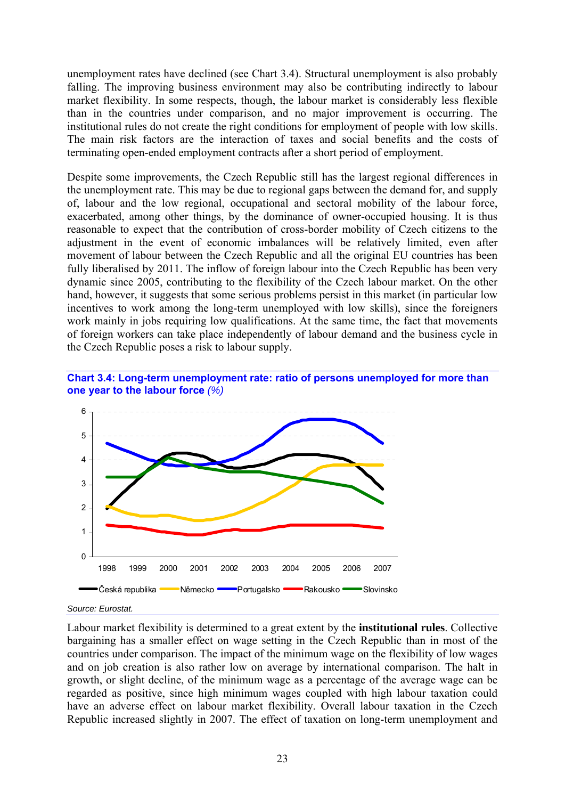unemployment rates have declined (see Chart 3.4). Structural unemployment is also probably falling. The improving business environment may also be contributing indirectly to labour market flexibility. In some respects, though, the labour market is considerably less flexible than in the countries under comparison, and no major improvement is occurring. The institutional rules do not create the right conditions for employment of people with low skills. The main risk factors are the interaction of taxes and social benefits and the costs of terminating open-ended employment contracts after a short period of employment.

Despite some improvements, the Czech Republic still has the largest regional differences in the unemployment rate. This may be due to regional gaps between the demand for, and supply of, labour and the low regional, occupational and sectoral mobility of the labour force, exacerbated, among other things, by the dominance of owner-occupied housing. It is thus reasonable to expect that the contribution of cross-border mobility of Czech citizens to the adjustment in the event of economic imbalances will be relatively limited, even after movement of labour between the Czech Republic and all the original EU countries has been fully liberalised by 2011. The inflow of foreign labour into the Czech Republic has been very dynamic since 2005, contributing to the flexibility of the Czech labour market. On the other hand, however, it suggests that some serious problems persist in this market (in particular low incentives to work among the long-term unemployed with low skills), since the foreigners work mainly in jobs requiring low qualifications. At the same time, the fact that movements of foreign workers can take place independently of labour demand and the business cycle in the Czech Republic poses a risk to labour supply.





## *Source: Eurostat.*

Labour market flexibility is determined to a great extent by the **institutional rules**. Collective bargaining has a smaller effect on wage setting in the Czech Republic than in most of the countries under comparison. The impact of the minimum wage on the flexibility of low wages and on job creation is also rather low on average by international comparison. The halt in growth, or slight decline, of the minimum wage as a percentage of the average wage can be regarded as positive, since high minimum wages coupled with high labour taxation could have an adverse effect on labour market flexibility. Overall labour taxation in the Czech Republic increased slightly in 2007. The effect of taxation on long-term unemployment and